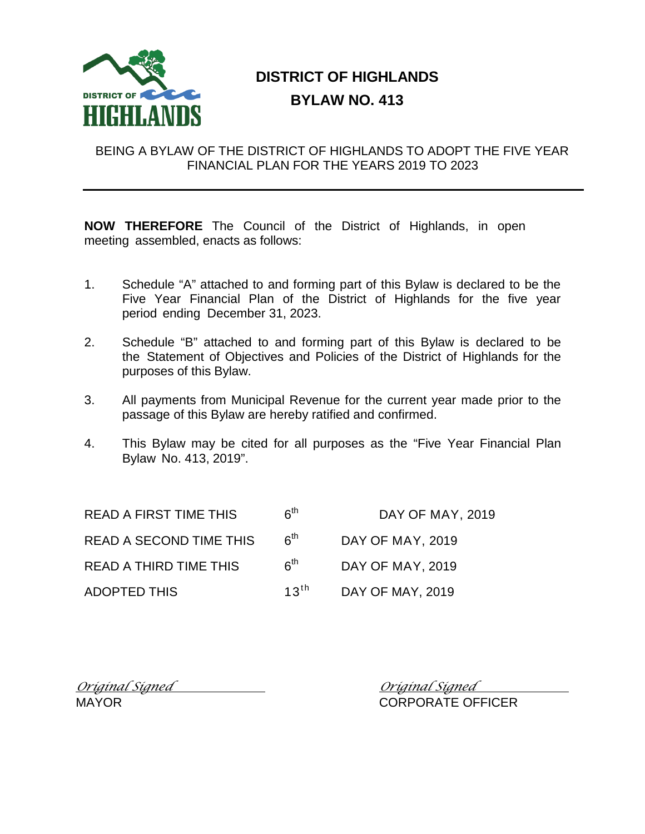

# **DISTRICT OF HIGHLANDS BYLAW NO. 413**

## BEING A BYLAW OF THE DISTRICT OF HIGHLANDS TO ADOPT THE FIVE YEAR FINANCIAL PLAN FOR THE YEARS 2019 TO 2023

**NOW THEREFORE** The Council of the District of Highlands, in open meeting assembled, enacts as follows:

- 1. Schedule "A" attached to and forming part of this Bylaw is declared to be the Five Year Financial Plan of the District of Highlands for the five year period ending December 31, 2023.
- 2. Schedule "B" attached to and forming part of this Bylaw is declared to be the Statement of Objectives and Policies of the District of Highlands for the purposes of this Bylaw.
- 3. All payments from Municipal Revenue for the current year made prior to the passage of this Bylaw are hereby ratified and confirmed.
- 4. This Bylaw may be cited for all purposes as the "Five Year Financial Plan Bylaw No. 413, 2019".

| <b>READ A FIRST TIME THIS</b>  | $\boldsymbol{\kappa}^{\textsf{th}}$ | DAY OF MAY, 2019        |
|--------------------------------|-------------------------------------|-------------------------|
| <b>READ A SECOND TIME THIS</b> | 6 <sup>th</sup>                     | <b>DAY OF MAY, 2019</b> |
| <b>READ A THIRD TIME THIS</b>  | 6 <sup>th</sup>                     | DAY OF MAY, 2019        |
| <b>ADOPTED THIS</b>            | $13^{\text{th}}$                    | <b>DAY OF MAY, 2019</b> |

*Original Signed Original Signed*

CORPORATE OFFICER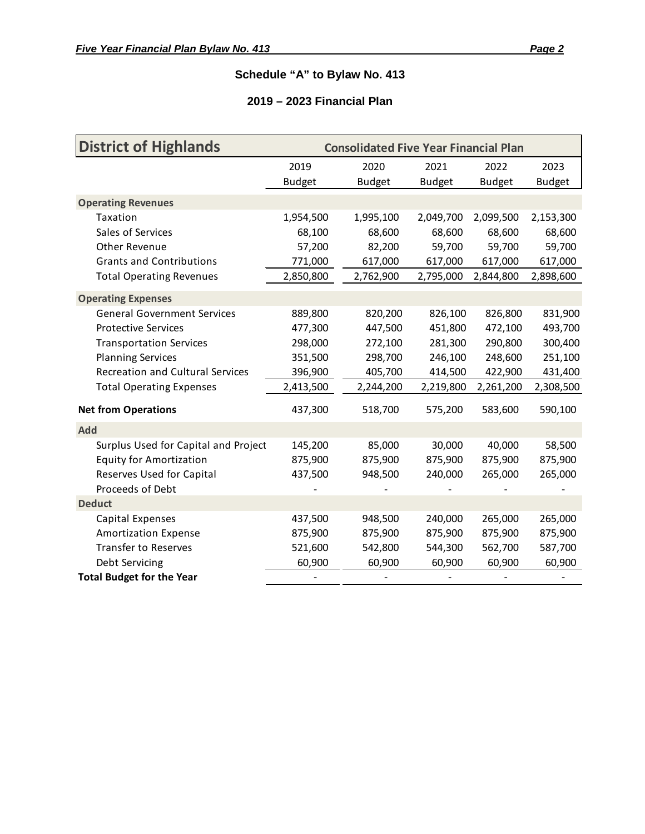## **Schedule "A" to Bylaw No. 413**

## **2019 – 2023 Financial Plan**

| <b>District of Highlands</b>            | <b>Consolidated Five Year Financial Plan</b> |               |               |               |               |
|-----------------------------------------|----------------------------------------------|---------------|---------------|---------------|---------------|
|                                         | 2019                                         | 2020          | 2021          | 2022          | 2023          |
|                                         | <b>Budget</b>                                | <b>Budget</b> | <b>Budget</b> | <b>Budget</b> | <b>Budget</b> |
| <b>Operating Revenues</b>               |                                              |               |               |               |               |
| Taxation                                | 1,954,500                                    | 1,995,100     | 2,049,700     | 2,099,500     | 2,153,300     |
| Sales of Services                       | 68,100                                       | 68,600        | 68,600        | 68,600        | 68,600        |
| Other Revenue                           | 57,200                                       | 82,200        | 59,700        | 59,700        | 59,700        |
| <b>Grants and Contributions</b>         | 771,000                                      | 617,000       | 617,000       | 617,000       | 617,000       |
| <b>Total Operating Revenues</b>         | 2,850,800                                    | 2,762,900     | 2,795,000     | 2,844,800     | 2,898,600     |
| <b>Operating Expenses</b>               |                                              |               |               |               |               |
| <b>General Government Services</b>      | 889,800                                      | 820,200       | 826,100       | 826,800       | 831,900       |
| <b>Protective Services</b>              | 477,300                                      | 447,500       | 451,800       | 472,100       | 493,700       |
| <b>Transportation Services</b>          | 298,000                                      | 272,100       | 281,300       | 290,800       | 300,400       |
| <b>Planning Services</b>                | 351,500                                      | 298,700       | 246,100       | 248,600       | 251,100       |
| <b>Recreation and Cultural Services</b> | 396,900                                      | 405,700       | 414,500       | 422,900       | 431,400       |
| <b>Total Operating Expenses</b>         | 2,413,500                                    | 2,244,200     | 2,219,800     | 2,261,200     | 2,308,500     |
| <b>Net from Operations</b>              | 437,300                                      | 518,700       | 575,200       | 583,600       | 590,100       |
| <b>Add</b>                              |                                              |               |               |               |               |
| Surplus Used for Capital and Project    | 145,200                                      | 85,000        | 30,000        | 40,000        | 58,500        |
| <b>Equity for Amortization</b>          | 875,900                                      | 875,900       | 875,900       | 875,900       | 875,900       |
| Reserves Used for Capital               | 437,500                                      | 948,500       | 240,000       | 265,000       | 265,000       |
| Proceeds of Debt                        |                                              |               |               |               |               |
| <b>Deduct</b>                           |                                              |               |               |               |               |
| <b>Capital Expenses</b>                 | 437,500                                      | 948,500       | 240,000       | 265,000       | 265,000       |
| <b>Amortization Expense</b>             | 875,900                                      | 875,900       | 875,900       | 875,900       | 875,900       |
| <b>Transfer to Reserves</b>             | 521,600                                      | 542,800       | 544,300       | 562,700       | 587,700       |
| Debt Servicing                          | 60,900                                       | 60,900        | 60,900        | 60,900        | 60,900        |
| <b>Total Budget for the Year</b>        |                                              |               |               |               |               |